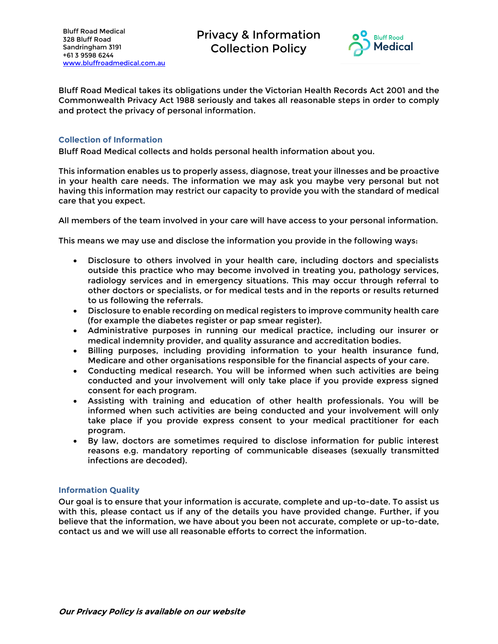Bluff Road Medical 328 Bluff Road Sandringham 3191 +61 3 9598 6244 [www.bluffroadmedical.com.au](http://www.bluffroadmedical.com.au/) Privacy & Information Collection Policy



Bluff Road Medical takes its obligations under the Victorian Health Records Act 2001 and the Commonwealth Privacy Act 1988 seriously and takes all reasonable steps in order to comply and protect the privacy of personal information.

## **Collection of Information**

Bluff Road Medical collects and holds personal health information about you.

This information enables us to properly assess, diagnose, treat your illnesses and be proactive in your health care needs. The information we may ask you maybe very personal but not having this information may restrict our capacity to provide you with the standard of medical care that you expect.

All members of the team involved in your care will have access to your personal information.

This means we may use and disclose the information you provide in the following ways:

- Disclosure to others involved in your health care, including doctors and specialists outside this practice who may become involved in treating you, pathology services, radiology services and in emergency situations. This may occur through referral to other doctors or specialists, or for medical tests and in the reports or results returned to us following the referrals.
- Disclosure to enable recording on medical registers to improve community health care (for example the diabetes register or pap smear register).
- Administrative purposes in running our medical practice, including our insurer or medical indemnity provider, and quality assurance and accreditation bodies.
- Billing purposes, including providing information to your health insurance fund, Medicare and other organisations responsible for the financial aspects of your care.
- Conducting medical research. You will be informed when such activities are being conducted and your involvement will only take place if you provide express signed consent for each program.
- Assisting with training and education of other health professionals. You will be informed when such activities are being conducted and your involvement will only take place if you provide express consent to your medical practitioner for each program.
- By law, doctors are sometimes required to disclose information for public interest reasons e.g. mandatory reporting of communicable diseases (sexually transmitted infections are decoded).

# **Information Quality**

Our goal is to ensure that your information is accurate, complete and up-to-date. To assist us with this, please contact us if any of the details you have provided change. Further, if you believe that the information, we have about you been not accurate, complete or up-to-date, contact us and we will use all reasonable efforts to correct the information.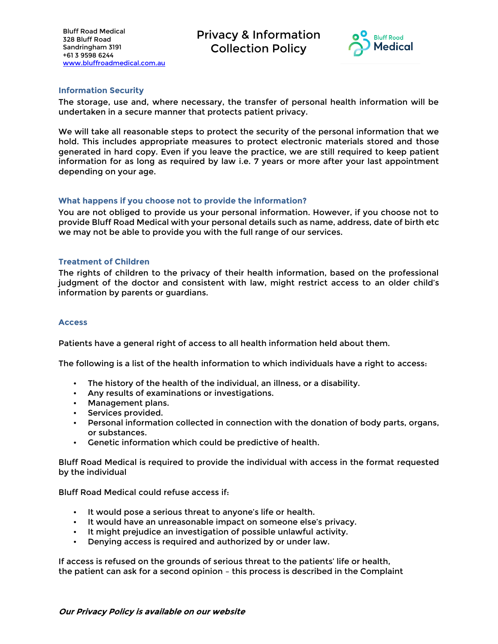Bluff Road Medical 328 Bluff Road Sandringham 3191 +61 3 9598 6244 [www.bluffroadmedical.com.au](http://www.bluffroadmedical.com.au/) Privacy & Information Collection Policy



## **Information Security**

The storage, use and, where necessary, the transfer of personal health information will be undertaken in a secure manner that protects patient privacy.

We will take all reasonable steps to protect the security of the personal information that we hold. This includes appropriate measures to protect electronic materials stored and those generated in hard copy. Even if you leave the practice, we are still required to keep patient information for as long as required by law i.e. 7 years or more after your last appointment depending on your age.

## **What happens if you choose not to provide the information?**

You are not obliged to provide us your personal information. However, if you choose not to provide Bluff Road Medical with your personal details such as name, address, date of birth etc we may not be able to provide you with the full range of our services.

## **Treatment of Children**

The rights of children to the privacy of their health information, based on the professional judgment of the doctor and consistent with law, might restrict access to an older child's information by parents or guardians.

#### **Access**

Patients have a general right of access to all health information held about them.

The following is a list of the health information to which individuals have a right to access:

- The history of the health of the individual, an illness, or a disability.
- Any results of examinations or investigations.
- Management plans.
- Services provided.
- Personal information collected in connection with the donation of body parts, organs, or substances.
- Genetic information which could be predictive of health.

Bluff Road Medical is required to provide the individual with access in the format requested by the individual

Bluff Road Medical could refuse access if:

- It would pose a serious threat to anyone's life or health.
- It would have an unreasonable impact on someone else's privacy.
- It might prejudice an investigation of possible unlawful activity.
- Denying access is required and authorized by or under law.

If access is refused on the grounds of serious threat to the patients' life or health, the patient can ask for a second opinion – this process is described in the Complaint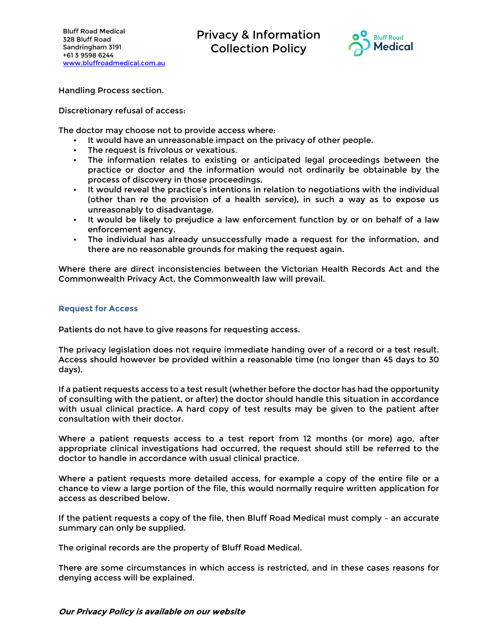Privacy & Information Collection Policy



Handling Process section.

Discretionary refusal of access:

The doctor may choose not to provide access where:

- It would have an unreasonable impact on the privacy of other people.
- The request is frivolous or vexatious.
- The information relates to existing or anticipated legal proceedings between the practice or doctor and the information would not ordinarily be obtainable by the process of discovery in those proceedings.
- It would reveal the practice's intentions in relation to negotiations with the individual (other than re the provision of a health service), in such a way as to expose us unreasonably to disadvantage.
- It would be likely to prejudice a law enforcement function by or on behalf of a law enforcement agency.
- The individual has already unsuccessfully made a request for the information, and there are no reasonable grounds for making the request again.

Where there are direct inconsistencies between the Victorian Health Records Act and the Commonwealth Privacy Act, the Commonwealth law will prevail.

#### **Request for Access**

Patients do not have to give reasons for requesting access.

The privacy legislation does not require immediate handing over of a record or a test result. Access should however be provided within a reasonable time (no longer than 45 days to 30 days).

If a patient requests access to a test result (whether before the doctor has had the opportunity of consulting with the patient, or after) the doctor should handle this situation in accordance with usual clinical practice. A hard copy of test results may be given to the patient after consultation with their doctor.

Where a patient requests access to a test report from 12 months (or more) ago, after appropriate clinical investigations had occurred, the request should still be referred to the doctor to handle in accordance with usual clinical practice.

Where a patient requests more detailed access, for example a copy of the entire file or a chance to view a large portion of the file, this would normally require written application for access as described below.

If the patient requests a copy of the file, then Bluff Road Medical must comply – an accurate summary can only be supplied.

The original records are the property of Bluff Road Medical.

There are some circumstances in which access is restricted, and in these cases reasons for denying access will be explained.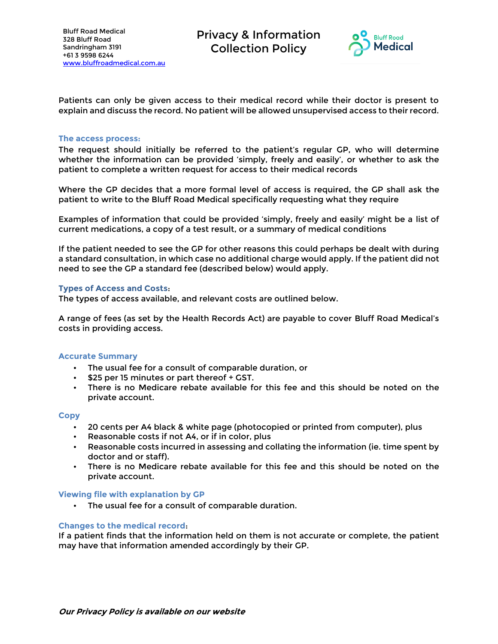

Patients can only be given access to their medical record while their doctor is present to explain and discuss the record. No patient will be allowed unsupervised access to their record.

#### **The access process:**

The request should initially be referred to the patient's regular GP, who will determine whether the information can be provided 'simply, freely and easily', or whether to ask the patient to complete a written request for access to their medical records

Where the GP decides that a more formal level of access is required, the GP shall ask the patient to write to the Bluff Road Medical specifically requesting what they require

Examples of information that could be provided 'simply, freely and easily' might be a list of current medications, a copy of a test result, or a summary of medical conditions

If the patient needed to see the GP for other reasons this could perhaps be dealt with during a standard consultation, in which case no additional charge would apply. If the patient did not need to see the GP a standard fee (described below) would apply.

#### **Types of Access and Costs**:

The types of access available, and relevant costs are outlined below.

A range of fees (as set by the Health Records Act) are payable to cover Bluff Road Medical's costs in providing access.

#### **Accurate Summary**

- The usual fee for a consult of comparable duration, or
- \$25 per 15 minutes or part thereof + GST.
- There is no Medicare rebate available for this fee and this should be noted on the private account.

#### **Copy**

- 20 cents per A4 black & white page (photocopied or printed from computer), plus
- Reasonable costs if not A4, or if in color, plus
- Reasonable costs incurred in assessing and collating the information (ie. time spent by doctor and or staff).
- There is no Medicare rebate available for this fee and this should be noted on the private account.

#### **Viewing file with explanation by GP**

• The usual fee for a consult of comparable duration.

#### **Changes to the medical record**:

If a patient finds that the information held on them is not accurate or complete, the patient may have that information amended accordingly by their GP.